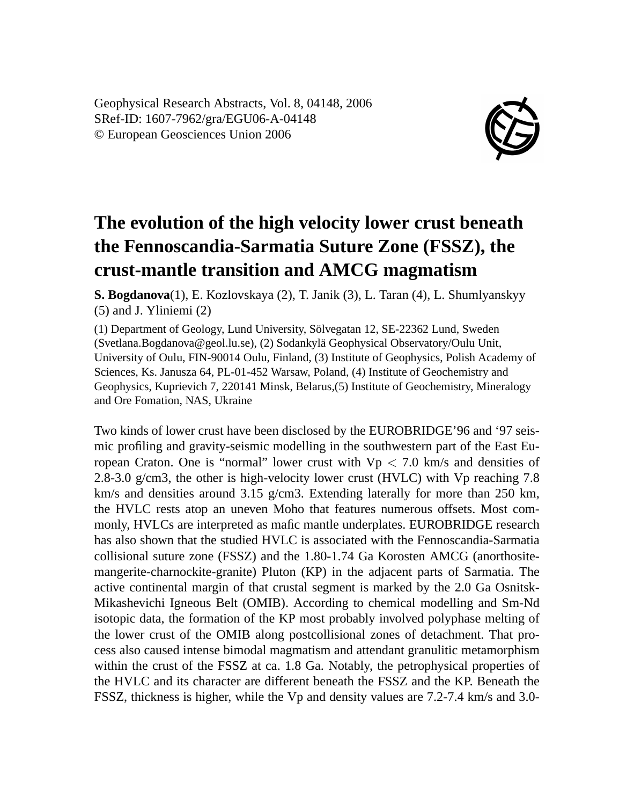Geophysical Research Abstracts, Vol. 8, 04148, 2006 SRef-ID: 1607-7962/gra/EGU06-A-04148 © European Geosciences Union 2006



## **The evolution of the high velocity lower crust beneath the Fennoscandia-Sarmatia Suture Zone (FSSZ), the crust-mantle transition and AMCG magmatism**

**S. Bogdanova**(1), E. Kozlovskaya (2), T. Janik (3), L. Taran (4), L. Shumlyanskyy (5) and J. Yliniemi (2)

(1) Department of Geology, Lund University, Sölvegatan 12, SE-22362 Lund, Sweden (Svetlana.Bogdanova@geol.lu.se), (2) Sodankylä Geophysical Observatory/Oulu Unit, University of Oulu, FIN-90014 Oulu, Finland, (3) Institute of Geophysics, Polish Academy of Sciences, Ks. Janusza 64, PL-01-452 Warsaw, Poland, (4) Institute of Geochemistry and Geophysics, Kuprievich 7, 220141 Minsk, Belarus,(5) Institute of Geochemistry, Mineralogy and Ore Fomation, NAS, Ukraine

Two kinds of lower crust have been disclosed by the EUROBRIDGE'96 and '97 seismic profiling and gravity-seismic modelling in the southwestern part of the East European Craton. One is "normal" lower crust with  $Vp < 7.0$  km/s and densities of 2.8-3.0 g/cm3, the other is high-velocity lower crust (HVLC) with Vp reaching 7.8 km/s and densities around 3.15 g/cm3. Extending laterally for more than 250 km, the HVLC rests atop an uneven Moho that features numerous offsets. Most commonly, HVLCs are interpreted as mafic mantle underplates. EUROBRIDGE research has also shown that the studied HVLC is associated with the Fennoscandia-Sarmatia collisional suture zone (FSSZ) and the 1.80-1.74 Ga Korosten AMCG (anorthositemangerite-charnockite-granite) Pluton (KP) in the adjacent parts of Sarmatia. The active continental margin of that crustal segment is marked by the 2.0 Ga Osnitsk-Mikashevichi Igneous Belt (OMIB). According to chemical modelling and Sm-Nd isotopic data, the formation of the KP most probably involved polyphase melting of the lower crust of the OMIB along postcollisional zones of detachment. That process also caused intense bimodal magmatism and attendant granulitic metamorphism within the crust of the FSSZ at ca. 1.8 Ga. Notably, the petrophysical properties of the HVLC and its character are different beneath the FSSZ and the KP. Beneath the FSSZ, thickness is higher, while the Vp and density values are 7.2-7.4 km/s and 3.0-